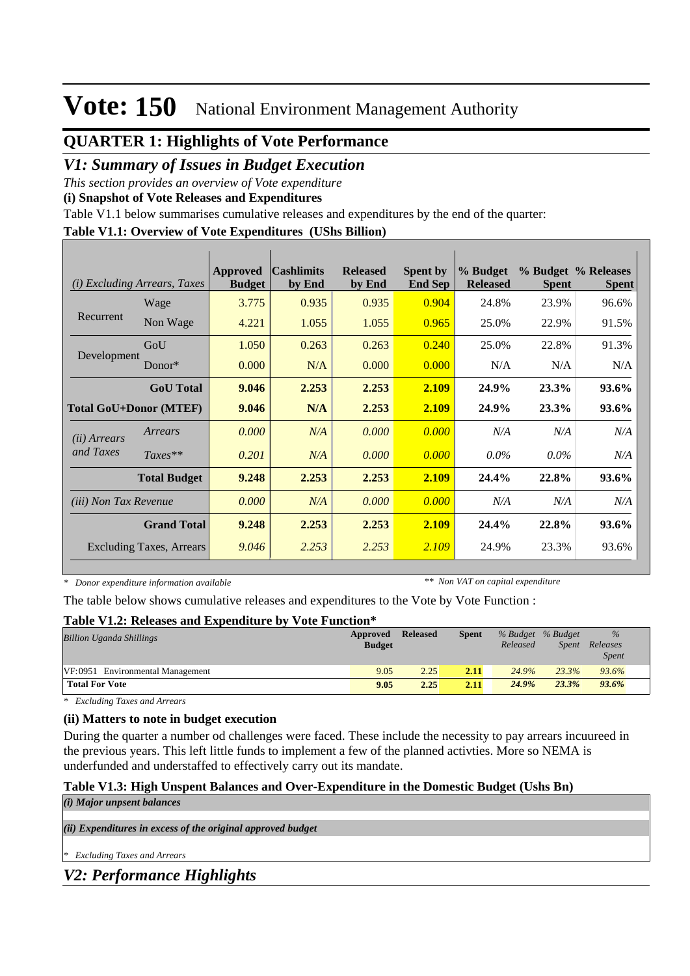## **QUARTER 1: Highlights of Vote Performance**

## *V1: Summary of Issues in Budget Execution*

*This section provides an overview of Vote expenditure* 

**(i) Snapshot of Vote Releases and Expenditures**

Table V1.1 below summarises cumulative releases and expenditures by the end of the quarter:

#### **Table V1.1: Overview of Vote Expenditures (UShs Billion)**

| (i)                           | <i>Excluding Arrears, Taxes</i> | Approved<br><b>Budget</b> | $\alpha$ cashlimits<br>by End | <b>Released</b><br>by End | <b>Spent by</b><br><b>End Sep</b> | % Budget<br><b>Released</b> | <b>Spent</b> | % Budget % Releases<br><b>Spent</b> |
|-------------------------------|---------------------------------|---------------------------|-------------------------------|---------------------------|-----------------------------------|-----------------------------|--------------|-------------------------------------|
|                               | Wage                            | 3.775                     | 0.935                         | 0.935                     | 0.904                             | 24.8%                       | 23.9%        | 96.6%                               |
| Recurrent                     | Non Wage                        | 4.221                     | 1.055                         | 1.055                     | 0.965                             | 25.0%                       | 22.9%        | 91.5%                               |
|                               | GoU                             | 1.050                     | 0.263                         | 0.263                     | 0.240                             | 25.0%                       | 22.8%        | 91.3%                               |
| Development                   | Donor $*$                       | 0.000                     | N/A                           | 0.000                     | 0.000                             | N/A                         | N/A          | N/A                                 |
|                               | <b>GoU</b> Total                | 9.046                     | 2.253                         | 2.253                     | 2.109                             | 24.9%                       | 23.3%        | 93.6%                               |
| <b>Total GoU+Donor (MTEF)</b> |                                 | 9.046                     | N/A                           | 2.253                     | 2.109                             | 24.9%                       | 23.3%        | 93.6%                               |
| ( <i>ii</i> ) Arrears         | Arrears                         | 0.000                     | N/A                           | 0.000                     | 0.000                             | N/A                         | N/A          | N/A                                 |
| and Taxes                     | $Taxes**$                       | 0.201                     | N/A                           | 0.000                     | 0.000                             | $0.0\%$                     | $0.0\%$      | N/A                                 |
|                               | <b>Total Budget</b>             | 9.248                     | 2.253                         | 2.253                     | 2.109                             | 24.4%                       | 22.8%        | 93.6%                               |
| <i>(iii)</i> Non Tax Revenue  |                                 | 0.000                     | N/A                           | 0.000                     | 0.000                             | N/A                         | N/A          | N/A                                 |
|                               | <b>Grand Total</b>              | 9.248                     | 2.253                         | 2.253                     | 2.109                             | 24.4%                       | 22.8%        | 93.6%                               |
|                               | <b>Excluding Taxes, Arrears</b> | 9.046                     | 2.253                         | 2.253                     | 2.109                             | 24.9%                       | 23.3%        | 93.6%                               |

*\* Donor expenditure information available*

*\*\* Non VAT on capital expenditure*

The table below shows cumulative releases and expenditures to the Vote by Vote Function :

#### **Table V1.2: Releases and Expenditure by Vote Function\***

| <b>Billion Uganda Shillings</b>  | Approved<br><b>Budget</b> | <b>Released</b> | <b>Spent</b> | % Budget % Budget<br>Released | Spent | $\%$<br>Releases<br><b>Spent</b> |  |
|----------------------------------|---------------------------|-----------------|--------------|-------------------------------|-------|----------------------------------|--|
| VF:0951 Environmental Management | 9.05                      | 2.25            | 2.11         | 24.9%                         | 23.3% | 93.6%                            |  |
| <b>Total For Vote</b>            | 9.05                      | 2.25            | 2.11         | 24.9%                         | 23.3% | 93.6%                            |  |

*\* Excluding Taxes and Arrears*

### **(ii) Matters to note in budget execution**

During the quarter a number od challenges were faced. These include the necessity to pay arrears incuureed in the previous years. This left little funds to implement a few of the planned activties. More so NEMA is underfunded and understaffed to effectively carry out its mandate.

#### **Table V1.3: High Unspent Balances and Over-Expenditure in the Domestic Budget (Ushs Bn)** *(i) Major unpsent balances*

*(ii) Expenditures in excess of the original approved budget*

*\* Excluding Taxes and Arrears*

*V2: Performance Highlights*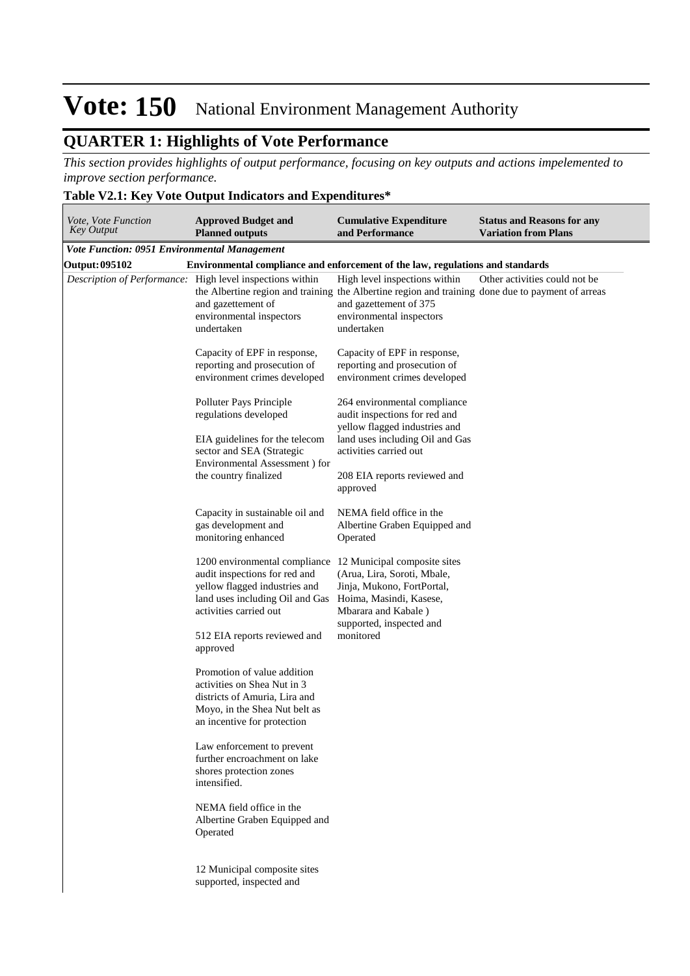## **QUARTER 1: Highlights of Vote Performance**

*This section provides highlights of output performance, focusing on key outputs and actions impelemented to improve section performance.*

### **Table V2.1: Key Vote Output Indicators and Expenditures\***

| Vote, Vote Function<br><b>Key Output</b>     | <b>Approved Budget and</b><br><b>Planned outputs</b>                                                                                                                       | <b>Cumulative Expenditure</b><br>and Performance                                                                                                                                                       | <b>Status and Reasons for any</b><br><b>Variation from Plans</b> |
|----------------------------------------------|----------------------------------------------------------------------------------------------------------------------------------------------------------------------------|--------------------------------------------------------------------------------------------------------------------------------------------------------------------------------------------------------|------------------------------------------------------------------|
| Vote Function: 0951 Environmental Management |                                                                                                                                                                            |                                                                                                                                                                                                        |                                                                  |
| <b>Output: 095102</b>                        | Environmental compliance and enforcement of the law, regulations and standards                                                                                             |                                                                                                                                                                                                        |                                                                  |
|                                              | Description of Performance: High level inspections within<br>and gazettement of<br>environmental inspectors<br>undertaken                                                  | High level inspections within<br>the Albertine region and training the Albertine region and training done due to payment of arreas<br>and gazettement of 375<br>environmental inspectors<br>undertaken | Other activities could not be                                    |
|                                              | Capacity of EPF in response,<br>reporting and prosecution of<br>environment crimes developed                                                                               | Capacity of EPF in response,<br>reporting and prosecution of<br>environment crimes developed                                                                                                           |                                                                  |
|                                              | Polluter Pays Principle<br>regulations developed<br>EIA guidelines for the telecom<br>sector and SEA (Strategic<br>Environmental Assessment ) for<br>the country finalized | 264 environmental compliance<br>audit inspections for red and<br>yellow flagged industries and<br>land uses including Oil and Gas<br>activities carried out<br>208 EIA reports reviewed and            |                                                                  |
|                                              |                                                                                                                                                                            | approved                                                                                                                                                                                               |                                                                  |
|                                              | Capacity in sustainable oil and<br>gas development and<br>monitoring enhanced                                                                                              | NEMA field office in the<br>Albertine Graben Equipped and<br>Operated                                                                                                                                  |                                                                  |
|                                              | 1200 environmental compliance<br>audit inspections for red and<br>yellow flagged industries and<br>land uses including Oil and Gas<br>activities carried out               | 12 Municipal composite sites<br>(Arua, Lira, Soroti, Mbale,<br>Jinja, Mukono, FortPortal,<br>Hoima, Masindi, Kasese,<br>Mbarara and Kabale)<br>supported, inspected and                                |                                                                  |
|                                              | 512 EIA reports reviewed and<br>approved                                                                                                                                   | monitored                                                                                                                                                                                              |                                                                  |
|                                              | Promotion of value addition<br>activities on Shea Nut in 3<br>districts of Amuria, Lira and<br>Moyo, in the Shea Nut belt as<br>an incentive for protection                |                                                                                                                                                                                                        |                                                                  |
|                                              | Law enforcement to prevent<br>further encroachment on lake<br>shores protection zones<br>intensified.                                                                      |                                                                                                                                                                                                        |                                                                  |
|                                              | NEMA field office in the<br>Albertine Graben Equipped and<br>Operated                                                                                                      |                                                                                                                                                                                                        |                                                                  |
|                                              | 12 Municipal composite sites<br>supported, inspected and                                                                                                                   |                                                                                                                                                                                                        |                                                                  |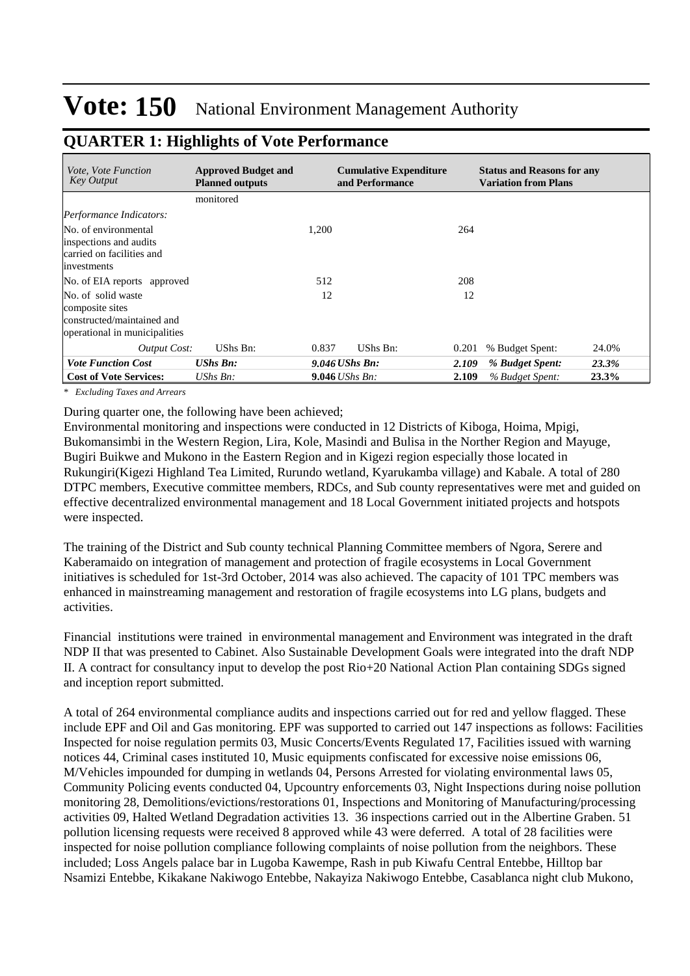| <i>Vote, Vote Function</i><br>Key Output                                                             | <b>Approved Budget and</b><br><b>Planned outputs</b> | <b>Cumulative Expenditure</b><br>and Performance | <b>Status and Reasons for any</b><br><b>Variation from Plans</b> |
|------------------------------------------------------------------------------------------------------|------------------------------------------------------|--------------------------------------------------|------------------------------------------------------------------|
|                                                                                                      | monitored                                            |                                                  |                                                                  |
| Performance Indicators:                                                                              |                                                      |                                                  |                                                                  |
| No. of environmental<br>inspections and audits<br>carried on facilities and<br>investments           |                                                      | 1,200                                            | 264                                                              |
| No. of EIA reports approved                                                                          |                                                      | 512                                              | 208                                                              |
| No. of solid waste<br>composite sites<br>constructed/maintained and<br>operational in municipalities |                                                      | 12                                               | 12                                                               |
| <b>Output Cost:</b>                                                                                  | UShs Bn:                                             | UShs Bn:<br>0.837                                | % Budget Spent:<br>0.201<br>24.0%                                |
| <b>Vote Function Cost</b>                                                                            | <b>UShs Bn:</b>                                      | $9.046$ UShs Bn:                                 | 23.3%<br>2.109<br>% Budget Spent:                                |
| <b>Cost of Vote Services:</b>                                                                        | UShs $Bn$ :                                          | <b>9.046</b> <i>UShs Bn:</i>                     | % Budget Spent:<br>23.3%<br>2.109                                |

### **QUARTER 1: Highlights of Vote Performance**

*\* Excluding Taxes and Arrears*

During quarter one, the following have been achieved;

Environmental monitoring and inspections were conducted in 12 Districts of Kiboga, Hoima, Mpigi, Bukomansimbi in the Western Region, Lira, Kole, Masindi and Bulisa in the Norther Region and Mayuge, Bugiri Buikwe and Mukono in the Eastern Region and in Kigezi region especially those located in Rukungiri(Kigezi Highland Tea Limited, Rurundo wetland, Kyarukamba village) and Kabale. A total of 280 DTPC members, Executive committee members, RDCs, and Sub county representatives were met and guided on effective decentralized environmental management and 18 Local Government initiated projects and hotspots were inspected.

The training of the District and Sub county technical Planning Committee members of Ngora, Serere and Kaberamaido on integration of management and protection of fragile ecosystems in Local Government initiatives is scheduled for 1st-3rd October, 2014 was also achieved. The capacity of 101 TPC members was enhanced in mainstreaming management and restoration of fragile ecosystems into LG plans, budgets and activities.

Financial institutions were trained in environmental management and Environment was integrated in the draft NDP II that was presented to Cabinet. Also Sustainable Development Goals were integrated into the draft NDP II. A contract for consultancy input to develop the post Rio+20 National Action Plan containing SDGs signed and inception report submitted.

A total of 264 environmental compliance audits and inspections carried out for red and yellow flagged. These include EPF and Oil and Gas monitoring. EPF was supported to carried out 147 inspections as follows: Facilities Inspected for noise regulation permits 03, Music Concerts/Events Regulated 17, Facilities issued with warning notices 44, Criminal cases instituted 10, Music equipments confiscated for excessive noise emissions 06, M/Vehicles impounded for dumping in wetlands 04, Persons Arrested for violating environmental laws 05, Community Policing events conducted 04, Upcountry enforcements 03, Night Inspections during noise pollution monitoring 28, Demolitions/evictions/restorations 01, Inspections and Monitoring of Manufacturing/processing activities 09, Halted Wetland Degradation activities 13. 36 inspections carried out in the Albertine Graben. 51 pollution licensing requests were received 8 approved while 43 were deferred. A total of 28 facilities were inspected for noise pollution compliance following complaints of noise pollution from the neighbors. These included; Loss Angels palace bar in Lugoba Kawempe, Rash in pub Kiwafu Central Entebbe, Hilltop bar Nsamizi Entebbe, Kikakane Nakiwogo Entebbe, Nakayiza Nakiwogo Entebbe, Casablanca night club Mukono,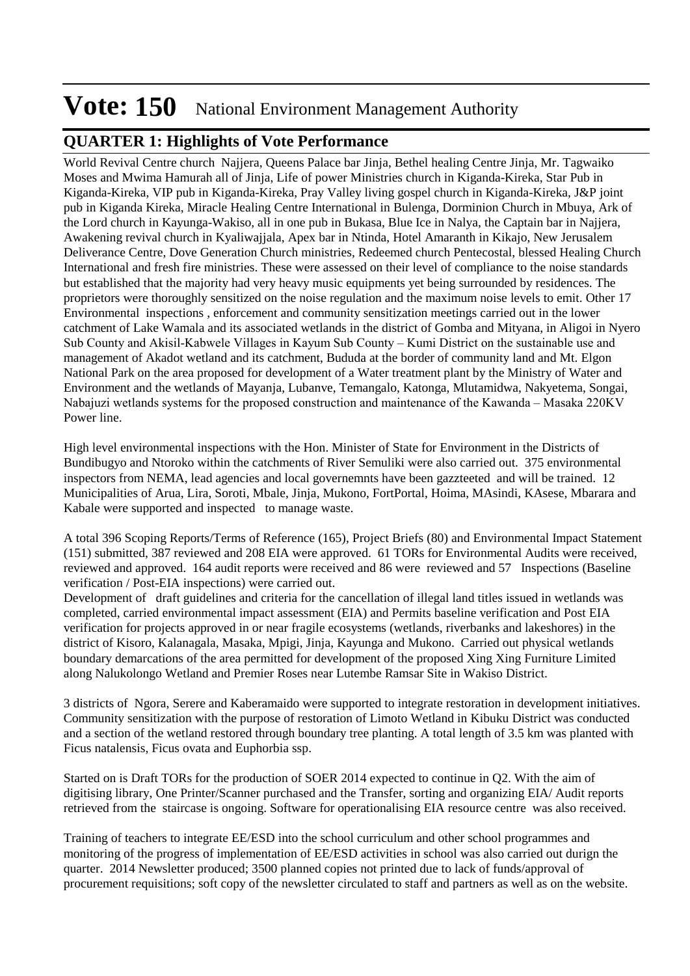### **QUARTER 1: Highlights of Vote Performance**

World Revival Centre church Najjera, Queens Palace bar Jinja, Bethel healing Centre Jinja, Mr. Tagwaiko Moses and Mwima Hamurah all of Jinja, Life of power Ministries church in Kiganda-Kireka, Star Pub in Kiganda-Kireka, VIP pub in Kiganda-Kireka, Pray Valley living gospel church in Kiganda-Kireka, J&P joint pub in Kiganda Kireka, Miracle Healing Centre International in Bulenga, Dorminion Church in Mbuya, Ark of the Lord church in Kayunga-Wakiso, all in one pub in Bukasa, Blue Ice in Nalya, the Captain bar in Najjera, Awakening revival church in Kyaliwajjala, Apex bar in Ntinda, Hotel Amaranth in Kikajo, New Jerusalem Deliverance Centre, Dove Generation Church ministries, Redeemed church Pentecostal, blessed Healing Church International and fresh fire ministries. These were assessed on their level of compliance to the noise standards but established that the majority had very heavy music equipments yet being surrounded by residences. The proprietors were thoroughly sensitized on the noise regulation and the maximum noise levels to emit. Other 17 Environmental inspections , enforcement and community sensitization meetings carried out in the lower catchment of Lake Wamala and its associated wetlands in the district of Gomba and Mityana, in Aligoi in Nyero Sub County and Akisil-Kabwele Villages in Kayum Sub County – Kumi District on the sustainable use and management of Akadot wetland and its catchment, Bududa at the border of community land and Mt. Elgon National Park on the area proposed for development of a Water treatment plant by the Ministry of Water and Environment and the wetlands of Mayanja, Lubanve, Temangalo, Katonga, Mlutamidwa, Nakyetema, Songai, Nabajuzi wetlands systems for the proposed construction and maintenance of the Kawanda – Masaka 220KV Power line.

High level environmental inspections with the Hon. Minister of State for Environment in the Districts of Bundibugyo and Ntoroko within the catchments of River Semuliki were also carried out. 375 environmental inspectors from NEMA, lead agencies and local governemnts have been gazzteeted and will be trained. 12 Municipalities of Arua, Lira, Soroti, Mbale, Jinja, Mukono, FortPortal, Hoima, MAsindi, KAsese, Mbarara and Kabale were supported and inspected to manage waste.

A total 396 Scoping Reports/Terms of Reference (165), Project Briefs (80) and Environmental Impact Statement (151) submitted, 387 reviewed and 208 EIA were approved. 61 TORs for Environmental Audits were received, reviewed and approved. 164 audit reports were received and 86 were reviewed and 57 Inspections (Baseline verification / Post-EIA inspections) were carried out.

Development of draft guidelines and criteria for the cancellation of illegal land titles issued in wetlands was completed, carried environmental impact assessment (EIA) and Permits baseline verification and Post EIA verification for projects approved in or near fragile ecosystems (wetlands, riverbanks and lakeshores) in the district of Kisoro, Kalanagala, Masaka, Mpigi, Jinja, Kayunga and Mukono. Carried out physical wetlands boundary demarcations of the area permitted for development of the proposed Xing Xing Furniture Limited along Nalukolongo Wetland and Premier Roses near Lutembe Ramsar Site in Wakiso District.

3 districts of Ngora, Serere and Kaberamaido were supported to integrate restoration in development initiatives. Community sensitization with the purpose of restoration of Limoto Wetland in Kibuku District was conducted and a section of the wetland restored through boundary tree planting. A total length of 3.5 km was planted with Ficus natalensis, Ficus ovata and Euphorbia ssp.

Started on is Draft TORs for the production of SOER 2014 expected to continue in Q2. With the aim of digitising library, One Printer/Scanner purchased and the Transfer, sorting and organizing EIA/ Audit reports retrieved from the staircase is ongoing. Software for operationalising EIA resource centre was also received.

Training of teachers to integrate EE/ESD into the school curriculum and other school programmes and monitoring of the progress of implementation of EE/ESD activities in school was also carried out durign the quarter. 2014 Newsletter produced; 3500 planned copies not printed due to lack of funds/approval of procurement requisitions; soft copy of the newsletter circulated to staff and partners as well as on the website.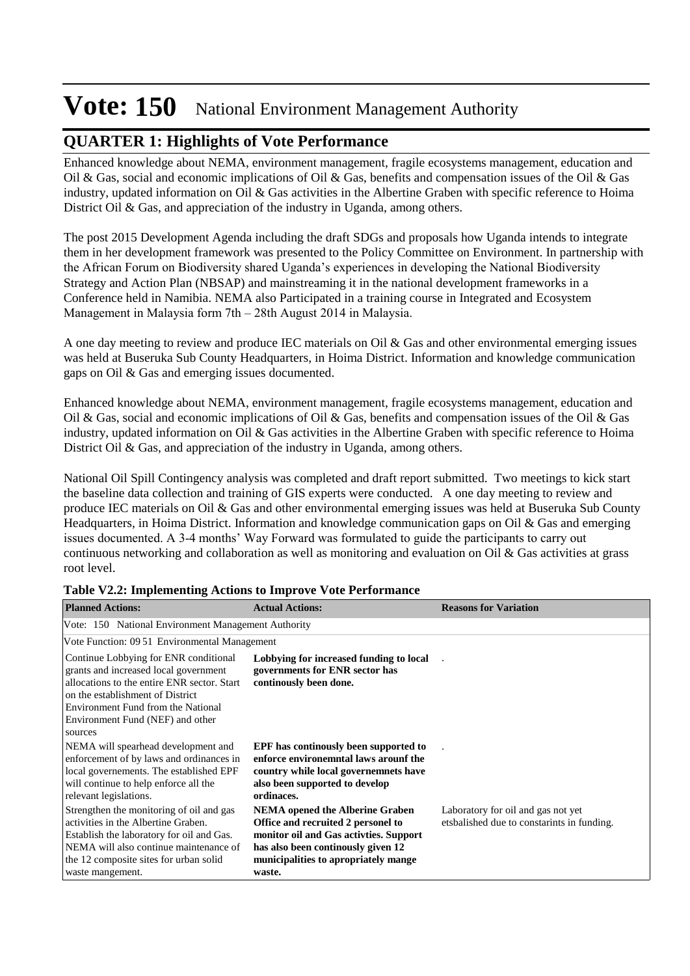## **QUARTER 1: Highlights of Vote Performance**

Enhanced knowledge about NEMA, environment management, fragile ecosystems management, education and Oil & Gas, social and economic implications of Oil & Gas, benefits and compensation issues of the Oil & Gas industry, updated information on Oil & Gas activities in the Albertine Graben with specific reference to Hoima District Oil & Gas, and appreciation of the industry in Uganda, among others.

The post 2015 Development Agenda including the draft SDGs and proposals how Uganda intends to integrate them in her development framework was presented to the Policy Committee on Environment. In partnership with the African Forum on Biodiversity shared Uganda's experiences in developing the National Biodiversity Strategy and Action Plan (NBSAP) and mainstreaming it in the national development frameworks in a Conference held in Namibia. NEMA also Participated in a training course in Integrated and Ecosystem Management in Malaysia form 7th – 28th August 2014 in Malaysia.

A one day meeting to review and produce IEC materials on Oil & Gas and other environmental emerging issues was held at Buseruka Sub County Headquarters, in Hoima District. Information and knowledge communication gaps on Oil & Gas and emerging issues documented.

Enhanced knowledge about NEMA, environment management, fragile ecosystems management, education and Oil & Gas, social and economic implications of Oil & Gas, benefits and compensation issues of the Oil & Gas industry, updated information on Oil & Gas activities in the Albertine Graben with specific reference to Hoima District Oil & Gas, and appreciation of the industry in Uganda, among others.

National Oil Spill Contingency analysis was completed and draft report submitted. Two meetings to kick start the baseline data collection and training of GIS experts were conducted. A one day meeting to review and produce IEC materials on Oil & Gas and other environmental emerging issues was held at Buseruka Sub County Headquarters, in Hoima District. Information and knowledge communication gaps on Oil & Gas and emerging issues documented. A 3-4 months' Way Forward was formulated to guide the participants to carry out continuous networking and collaboration as well as monitoring and evaluation on Oil & Gas activities at grass root level.

| <b>Planned Actions:</b>                                                                                                                                                                                                                                | <b>Actual Actions:</b>                                                                                                                                                                                          | <b>Reasons for Variation</b>                                                     |
|--------------------------------------------------------------------------------------------------------------------------------------------------------------------------------------------------------------------------------------------------------|-----------------------------------------------------------------------------------------------------------------------------------------------------------------------------------------------------------------|----------------------------------------------------------------------------------|
| Vote: 150 National Environment Management Authority                                                                                                                                                                                                    |                                                                                                                                                                                                                 |                                                                                  |
| Vote Function: 09 51 Environmental Management                                                                                                                                                                                                          |                                                                                                                                                                                                                 |                                                                                  |
| Continue Lobbying for ENR conditional<br>grants and increased local government<br>allocations to the entire ENR sector. Start<br>on the establishment of District<br>Environment Fund from the National<br>Environment Fund (NEF) and other<br>sources | Lobbying for increased funding to local<br>governments for ENR sector has<br>continously been done.                                                                                                             |                                                                                  |
| NEMA will spearhead development and<br>enforcement of by laws and ordinances in<br>local governements. The established EPF<br>will continue to help enforce all the<br>relevant legislations.                                                          | <b>EPF</b> has continually been supported to<br>enforce environemntal laws arounf the<br>country while local governemnets have<br>also been supported to develop<br>ordinaces.                                  |                                                                                  |
| Strengthen the monitoring of oil and gas<br>activities in the Albertine Graben.<br>Establish the laboratory for oil and Gas.<br>NEMA will also continue maintenance of<br>the 12 composite sites for urban solid<br>waste mangement.                   | <b>NEMA</b> opened the Alberine Graben<br>Office and recruited 2 personel to<br>monitor oil and Gas activities. Support<br>has also been continually given 12<br>municipalities to apropriately mange<br>waste. | Laboratory for oil and gas not yet<br>etsbalished due to constarints in funding. |

### **Table V2.2: Implementing Actions to Improve Vote Performance**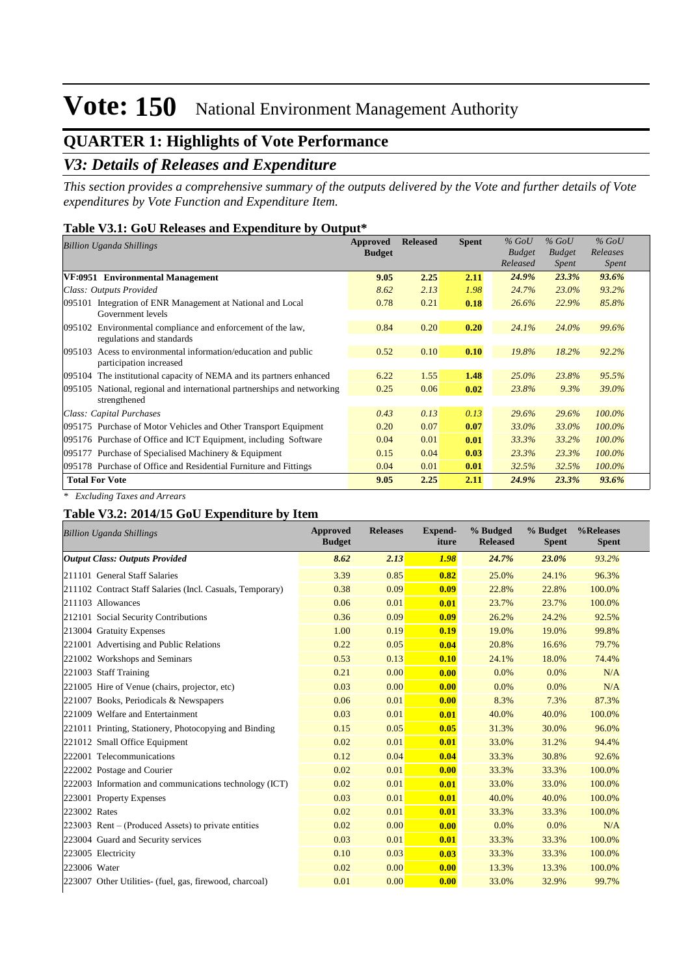## **QUARTER 1: Highlights of Vote Performance**

### *V3: Details of Releases and Expenditure*

*This section provides a comprehensive summary of the outputs delivered by the Vote and further details of Vote expenditures by Vote Function and Expenditure Item.*

#### **Table V3.1: GoU Releases and Expenditure by Output\***

| Billion Uganda Shillings                                                                     | Approved<br><b>Budget</b> | <b>Released</b> | <b>Spent</b> | $%$ GoU<br><b>Budget</b><br>Released | $%$ GoU<br><b>Budget</b><br>Spent | $%$ GoU<br>Releases<br><i>Spent</i> |
|----------------------------------------------------------------------------------------------|---------------------------|-----------------|--------------|--------------------------------------|-----------------------------------|-------------------------------------|
| VF:0951 Environmental Management                                                             | 9.05                      | 2.25            | 2.11         | 24.9%                                | 23.3%                             | 93.6%                               |
| Class: Outputs Provided                                                                      | 8.62                      | 2.13            | 1.98         | 24.7%                                | 23.0%                             | 93.2%                               |
| Integration of ENR Management at National and Local<br>095101<br>Government levels           | 0.78                      | 0.21            | 0.18         | 26.6%                                | 22.9%                             | 85.8%                               |
| Environmental compliance and enforcement of the law,<br>095102<br>regulations and standards  | 0.84                      | 0.20            | 0.20         | 24.1%                                | 24.0%                             | 99.6%                               |
| Acess to environmental information/education and public<br>095103<br>participation increased | 0.52                      | 0.10            | 0.10         | 19.8%                                | 18.2%                             | 92.2%                               |
| The institutional capacity of NEMA and its partners enhanced<br>095104                       | 6.22                      | 1.55            | 1.48         | $25.0\%$                             | 23.8%                             | 95.5%                               |
| 095105 National, regional and international partnerships and networking<br>strengthened      | 0.25                      | 0.06            | 0.02         | 23.8%                                | $9.3\%$                           | 39.0%                               |
| Class: Capital Purchases                                                                     | 0.43                      | 0.13            | 0.13         | 29.6%                                | 29.6%                             | $100.0\%$                           |
| 095175 Purchase of Motor Vehicles and Other Transport Equipment                              | 0.20                      | 0.07            | 0.07         | 33.0%                                | 33.0%                             | $100.0\%$                           |
| 095176 Purchase of Office and ICT Equipment, including Software                              | 0.04                      | 0.01            | 0.01         | 33.3%                                | 33.2%                             | $100.0\%$                           |
| 095177 Purchase of Specialised Machinery & Equipment                                         | 0.15                      | 0.04            | 0.03         | 23.3%                                | 23.3%                             | $100.0\%$                           |
| 095178 Purchase of Office and Residential Furniture and Fittings                             | 0.04                      | 0.01            | 0.01         | 32.5%                                | 32.5%                             | $100.0\%$                           |
| <b>Total For Vote</b>                                                                        | 9.05                      | 2.25            | 2.11         | 24.9%                                | 23.3%                             | 93.6%                               |

*\* Excluding Taxes and Arrears*

#### **Table V3.2: 2014/15 GoU Expenditure by Item**

| <b>Billion Uganda Shillings</b>                           | <b>Approved</b><br><b>Budget</b> | <b>Releases</b> | <b>Expend-</b><br>iture | % Budged<br><b>Released</b> | % Budget<br><b>Spent</b> | %Releases<br><b>Spent</b> |
|-----------------------------------------------------------|----------------------------------|-----------------|-------------------------|-----------------------------|--------------------------|---------------------------|
| <b>Output Class: Outputs Provided</b>                     | 8.62                             | 2.13            | 1.98                    | 24.7%                       | 23.0%                    | 93.2%                     |
| 211101 General Staff Salaries                             | 3.39                             | 0.85            | 0.82                    | 25.0%                       | 24.1%                    | 96.3%                     |
| 211102 Contract Staff Salaries (Incl. Casuals, Temporary) | 0.38                             | 0.09            | 0.09                    | 22.8%                       | 22.8%                    | 100.0%                    |
| 211103 Allowances                                         | 0.06                             | 0.01            | 0.01                    | 23.7%                       | 23.7%                    | 100.0%                    |
| 212101 Social Security Contributions                      | 0.36                             | 0.09            | 0.09                    | 26.2%                       | 24.2%                    | 92.5%                     |
| 213004 Gratuity Expenses                                  | 1.00                             | 0.19            | 0.19                    | 19.0%                       | 19.0%                    | 99.8%                     |
| 221001 Advertising and Public Relations                   | 0.22                             | 0.05            | 0.04                    | 20.8%                       | 16.6%                    | 79.7%                     |
| 221002 Workshops and Seminars                             | 0.53                             | 0.13            | 0.10                    | 24.1%                       | 18.0%                    | 74.4%                     |
| 221003 Staff Training                                     | 0.21                             | 0.00            | 0.00                    | 0.0%                        | $0.0\%$                  | N/A                       |
| 221005 Hire of Venue (chairs, projector, etc)             | 0.03                             | 0.00            | 0.00                    | 0.0%                        | 0.0%                     | N/A                       |
| 221007 Books, Periodicals & Newspapers                    | 0.06                             | 0.01            | 0.00                    | 8.3%                        | 7.3%                     | 87.3%                     |
| 221009 Welfare and Entertainment                          | 0.03                             | 0.01            | 0.01                    | 40.0%                       | 40.0%                    | 100.0%                    |
| 221011 Printing, Stationery, Photocopying and Binding     | 0.15                             | 0.05            | 0.05                    | 31.3%                       | 30.0%                    | 96.0%                     |
| 221012 Small Office Equipment                             | 0.02                             | 0.01            | 0.01                    | 33.0%                       | 31.2%                    | 94.4%                     |
| 222001 Telecommunications                                 | 0.12                             | 0.04            | 0.04                    | 33.3%                       | 30.8%                    | 92.6%                     |
| 222002 Postage and Courier                                | 0.02                             | 0.01            | 0.00                    | 33.3%                       | 33.3%                    | 100.0%                    |
| 222003 Information and communications technology (ICT)    | 0.02                             | 0.01            | 0.01                    | 33.0%                       | 33.0%                    | 100.0%                    |
| 223001 Property Expenses                                  | 0.03                             | 0.01            | 0.01                    | 40.0%                       | 40.0%                    | 100.0%                    |
| 223002 Rates                                              | 0.02                             | 0.01            | 0.01                    | 33.3%                       | 33.3%                    | 100.0%                    |
| $223003$ Rent – (Produced Assets) to private entities     | 0.02                             | 0.00            | 0.00                    | 0.0%                        | $0.0\%$                  | N/A                       |
| 223004 Guard and Security services                        | 0.03                             | 0.01            | 0.01                    | 33.3%                       | 33.3%                    | 100.0%                    |
| 223005 Electricity                                        | 0.10                             | 0.03            | 0.03                    | 33.3%                       | 33.3%                    | 100.0%                    |
| 223006 Water                                              | 0.02                             | 0.00            | 0.00                    | 13.3%                       | 13.3%                    | 100.0%                    |
| 223007 Other Utilities- (fuel, gas, firewood, charcoal)   | 0.01                             | 0.00            | 0.00                    | 33.0%                       | 32.9%                    | 99.7%                     |